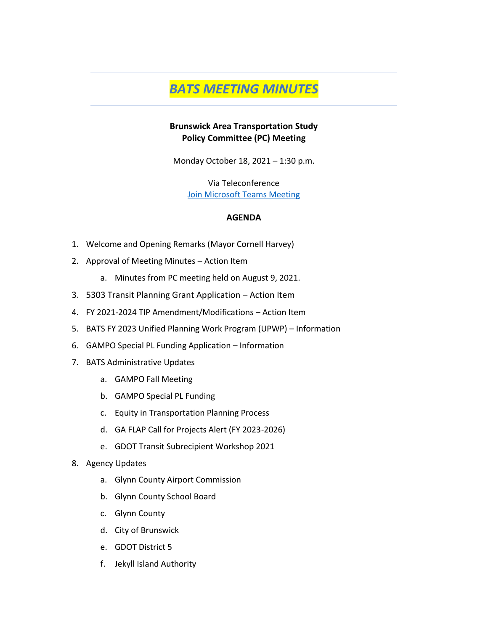# *BATS MEETING MINUTES*

## **Brunswick Area Transportation Study Policy Committee (PC) Meeting**

Monday October 18, 2021 – 1:30 p.m.

Via Teleconference [Join Microsoft Teams Meeting](https://teams.microsoft.com/l/meetup-join/19%3ameeting_NTBhMzQ0ZTgtZjQyZi00YjJjLTkxZGEtZDE0NmJmMWQwZDVl%40thread.v2/0?context=%7b%22Tid%22%3a%22c58ddf19-e3d6-48ae-9ca8-fb286a5f162b%22%2c%22Oid%22%3a%224f122dbe-9eaa-4dfd-b1cf-79754b50f8b5%22%7d)

## **AGENDA**

- 1. Welcome and Opening Remarks (Mayor Cornell Harvey)
- 2. Approval of Meeting Minutes Action Item
	- a. Minutes from PC meeting held on August 9, 2021.
- 3. 5303 Transit Planning Grant Application Action Item
- 4. FY 2021-2024 TIP Amendment/Modifications Action Item
- 5. BATS FY 2023 Unified Planning Work Program (UPWP) Information
- 6. GAMPO Special PL Funding Application Information
- 7. BATS Administrative Updates
	- a. GAMPO Fall Meeting
	- b. GAMPO Special PL Funding
	- c. Equity in Transportation Planning Process
	- d. GA FLAP Call for Projects Alert (FY 2023-2026)
	- e. GDOT Transit Subrecipient Workshop 2021
- 8. Agency Updates
	- a. Glynn County Airport Commission
	- b. Glynn County School Board
	- c. Glynn County
	- d. City of Brunswick
	- e. GDOT District 5
	- f. Jekyll Island Authority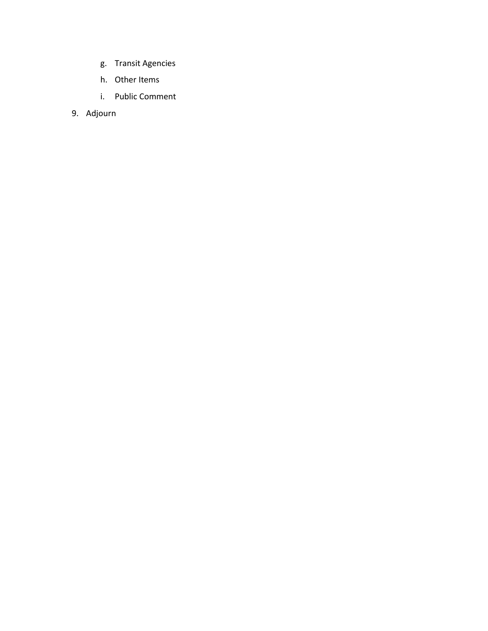- g. Transit Agencies
- h. Other Items
- i. Public Comment
- 9. Adjourn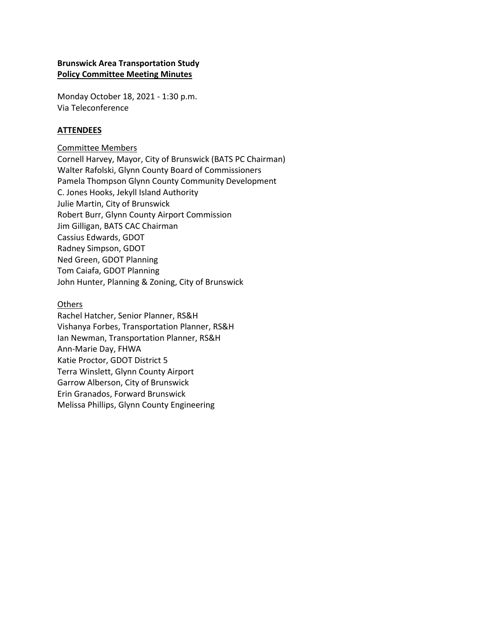## **Brunswick Area Transportation Study Policy Committee Meeting Minutes**

Monday October 18, 2021 - 1:30 p.m. Via Teleconference

## **ATTENDEES**

Committee Members Cornell Harvey, Mayor, City of Brunswick (BATS PC Chairman) Walter Rafolski, Glynn County Board of Commissioners Pamela Thompson Glynn County Community Development C. Jones Hooks, Jekyll Island Authority Julie Martin, City of Brunswick Robert Burr, Glynn County Airport Commission Jim Gilligan, BATS CAC Chairman Cassius Edwards, GDOT Radney Simpson, GDOT Ned Green, GDOT Planning Tom Caiafa, GDOT Planning John Hunter, Planning & Zoning, City of Brunswick

#### Others

Rachel Hatcher, Senior Planner, RS&H Vishanya Forbes, Transportation Planner, RS&H Ian Newman, Transportation Planner, RS&H Ann-Marie Day, FHWA Katie Proctor, GDOT District 5 Terra Winslett, Glynn County Airport Garrow Alberson, City of Brunswick Erin Granados, Forward Brunswick Melissa Phillips, Glynn County Engineering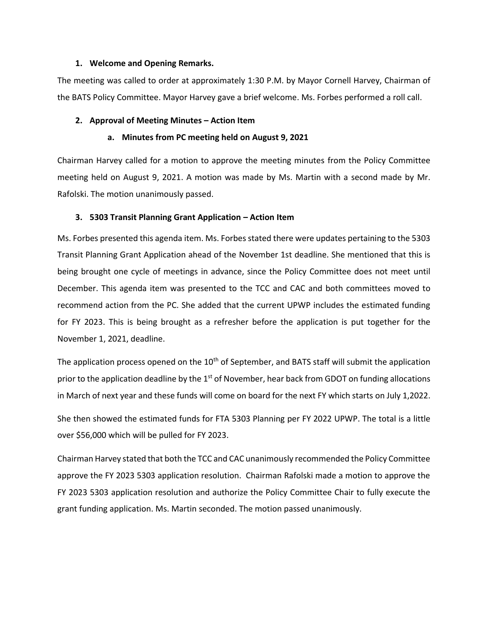#### **1. Welcome and Opening Remarks.**

The meeting was called to order at approximately 1:30 P.M. by Mayor Cornell Harvey, Chairman of the BATS Policy Committee. Mayor Harvey gave a brief welcome. Ms. Forbes performed a roll call.

## **2. Approval of Meeting Minutes – Action Item**

## **a. Minutes from PC meeting held on August 9, 2021**

Chairman Harvey called for a motion to approve the meeting minutes from the Policy Committee meeting held on August 9, 2021. A motion was made by Ms. Martin with a second made by Mr. Rafolski. The motion unanimously passed.

## **3. 5303 Transit Planning Grant Application – Action Item**

Ms. Forbes presented this agenda item. Ms. Forbes stated there were updates pertaining to the 5303 Transit Planning Grant Application ahead of the November 1st deadline. She mentioned that this is being brought one cycle of meetings in advance, since the Policy Committee does not meet until December. This agenda item was presented to the TCC and CAC and both committees moved to recommend action from the PC. She added that the current UPWP includes the estimated funding for FY 2023. This is being brought as a refresher before the application is put together for the November 1, 2021, deadline.

The application process opened on the 10<sup>th</sup> of September, and BATS staff will submit the application prior to the application deadline by the 1<sup>st</sup> of November, hear back from GDOT on funding allocations in March of next year and these funds will come on board for the next FY which starts on July 1,2022.

She then showed the estimated funds for FTA 5303 Planning per FY 2022 UPWP. The total is a little over \$56,000 which will be pulled for FY 2023.

Chairman Harvey stated that both the TCC and CAC unanimously recommended the Policy Committee approve the FY 2023 5303 application resolution. Chairman Rafolski made a motion to approve the FY 2023 5303 application resolution and authorize the Policy Committee Chair to fully execute the grant funding application. Ms. Martin seconded. The motion passed unanimously.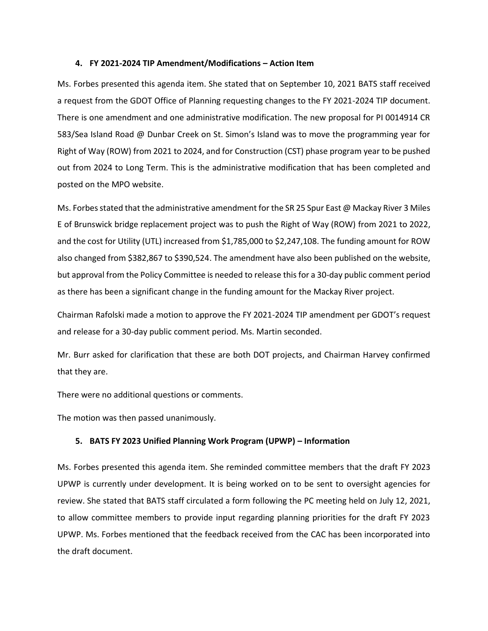#### **4. FY 2021-2024 TIP Amendment/Modifications – Action Item**

Ms. Forbes presented this agenda item. She stated that on September 10, 2021 BATS staff received a request from the GDOT Office of Planning requesting changes to the FY 2021-2024 TIP document. There is one amendment and one administrative modification. The new proposal for PI 0014914 CR 583/Sea Island Road @ Dunbar Creek on St. Simon's Island was to move the programming year for Right of Way (ROW) from 2021 to 2024, and for Construction (CST) phase program year to be pushed out from 2024 to Long Term. This is the administrative modification that has been completed and posted on the MPO website.

Ms. Forbes stated that the administrative amendment for the SR 25 Spur East @ Mackay River 3 Miles E of Brunswick bridge replacement project was to push the Right of Way (ROW) from 2021 to 2022, and the cost for Utility (UTL) increased from \$1,785,000 to \$2,247,108. The funding amount for ROW also changed from \$382,867 to \$390,524. The amendment have also been published on the website, but approval from the Policy Committee is needed to release this for a 30-day public comment period as there has been a significant change in the funding amount for the Mackay River project.

Chairman Rafolski made a motion to approve the FY 2021-2024 TIP amendment per GDOT's request and release for a 30-day public comment period. Ms. Martin seconded.

Mr. Burr asked for clarification that these are both DOT projects, and Chairman Harvey confirmed that they are.

There were no additional questions or comments.

The motion was then passed unanimously.

#### **5. BATS FY 2023 Unified Planning Work Program (UPWP) – Information**

Ms. Forbes presented this agenda item. She reminded committee members that the draft FY 2023 UPWP is currently under development. It is being worked on to be sent to oversight agencies for review. She stated that BATS staff circulated a form following the PC meeting held on July 12, 2021, to allow committee members to provide input regarding planning priorities for the draft FY 2023 UPWP. Ms. Forbes mentioned that the feedback received from the CAC has been incorporated into the draft document.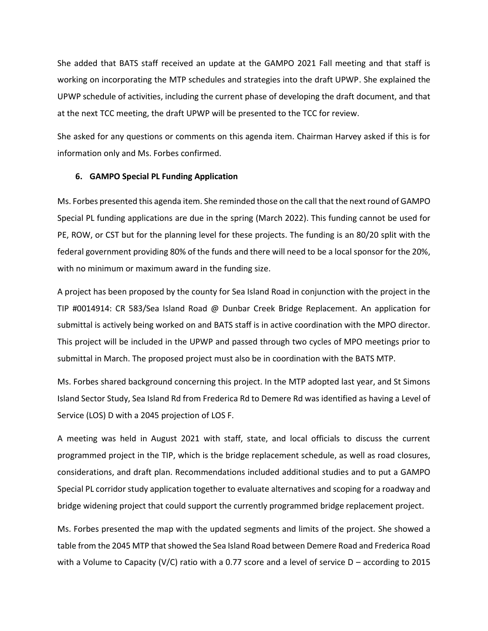She added that BATS staff received an update at the GAMPO 2021 Fall meeting and that staff is working on incorporating the MTP schedules and strategies into the draft UPWP. She explained the UPWP schedule of activities, including the current phase of developing the draft document, and that at the next TCC meeting, the draft UPWP will be presented to the TCC for review.

She asked for any questions or comments on this agenda item. Chairman Harvey asked if this is for information only and Ms. Forbes confirmed.

#### **6. GAMPO Special PL Funding Application**

Ms. Forbes presented this agenda item. She reminded those on the call that the next round of GAMPO Special PL funding applications are due in the spring (March 2022). This funding cannot be used for PE, ROW, or CST but for the planning level for these projects. The funding is an 80/20 split with the federal government providing 80% of the funds and there will need to be a local sponsor for the 20%, with no minimum or maximum award in the funding size.

A project has been proposed by the county for Sea Island Road in conjunction with the project in the TIP #0014914: CR 583/Sea Island Road @ Dunbar Creek Bridge Replacement. An application for submittal is actively being worked on and BATS staff is in active coordination with the MPO director. This project will be included in the UPWP and passed through two cycles of MPO meetings prior to submittal in March. The proposed project must also be in coordination with the BATS MTP.

Ms. Forbes shared background concerning this project. In the MTP adopted last year, and St Simons Island Sector Study, Sea Island Rd from Frederica Rd to Demere Rd was identified as having a Level of Service (LOS) D with a 2045 projection of LOS F.

A meeting was held in August 2021 with staff, state, and local officials to discuss the current programmed project in the TIP, which is the bridge replacement schedule, as well as road closures, considerations, and draft plan. Recommendations included additional studies and to put a GAMPO Special PL corridor study application together to evaluate alternatives and scoping for a roadway and bridge widening project that could support the currently programmed bridge replacement project.

Ms. Forbes presented the map with the updated segments and limits of the project. She showed a table from the 2045 MTP that showed the Sea Island Road between Demere Road and Frederica Road with a Volume to Capacity (V/C) ratio with a 0.77 score and a level of service  $D -$  according to 2015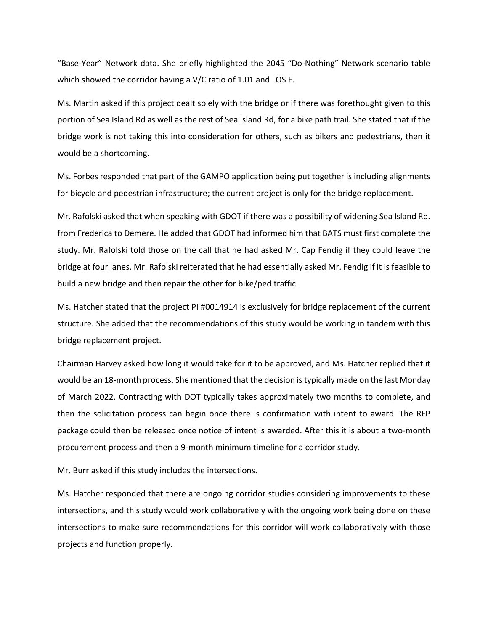"Base-Year" Network data. She briefly highlighted the 2045 "Do-Nothing" Network scenario table which showed the corridor having a V/C ratio of 1.01 and LOS F.

Ms. Martin asked if this project dealt solely with the bridge or if there was forethought given to this portion of Sea Island Rd as well as the rest of Sea Island Rd, for a bike path trail. She stated that if the bridge work is not taking this into consideration for others, such as bikers and pedestrians, then it would be a shortcoming.

Ms. Forbes responded that part of the GAMPO application being put together is including alignments for bicycle and pedestrian infrastructure; the current project is only for the bridge replacement.

Mr. Rafolski asked that when speaking with GDOT if there was a possibility of widening Sea Island Rd. from Frederica to Demere. He added that GDOT had informed him that BATS must first complete the study. Mr. Rafolski told those on the call that he had asked Mr. Cap Fendig if they could leave the bridge at four lanes. Mr. Rafolski reiterated that he had essentially asked Mr. Fendig if it is feasible to build a new bridge and then repair the other for bike/ped traffic.

Ms. Hatcher stated that the project PI #0014914 is exclusively for bridge replacement of the current structure. She added that the recommendations of this study would be working in tandem with this bridge replacement project.

Chairman Harvey asked how long it would take for it to be approved, and Ms. Hatcher replied that it would be an 18-month process. She mentioned that the decision is typically made on the last Monday of March 2022. Contracting with DOT typically takes approximately two months to complete, and then the solicitation process can begin once there is confirmation with intent to award. The RFP package could then be released once notice of intent is awarded. After this it is about a two-month procurement process and then a 9-month minimum timeline for a corridor study.

Mr. Burr asked if this study includes the intersections.

Ms. Hatcher responded that there are ongoing corridor studies considering improvements to these intersections, and this study would work collaboratively with the ongoing work being done on these intersections to make sure recommendations for this corridor will work collaboratively with those projects and function properly.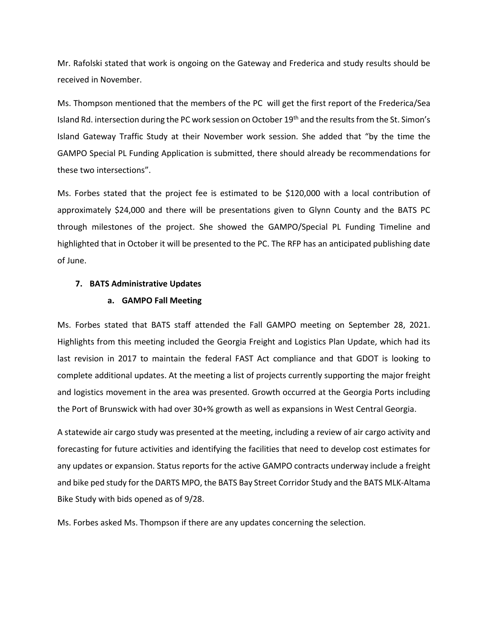Mr. Rafolski stated that work is ongoing on the Gateway and Frederica and study results should be received in November.

Ms. Thompson mentioned that the members of the PC will get the first report of the Frederica/Sea Island Rd. intersection during the PC work session on October 19<sup>th</sup> and the results from the St. Simon's Island Gateway Traffic Study at their November work session. She added that "by the time the GAMPO Special PL Funding Application is submitted, there should already be recommendations for these two intersections".

Ms. Forbes stated that the project fee is estimated to be \$120,000 with a local contribution of approximately \$24,000 and there will be presentations given to Glynn County and the BATS PC through milestones of the project. She showed the GAMPO/Special PL Funding Timeline and highlighted that in October it will be presented to the PC. The RFP has an anticipated publishing date of June.

#### **7. BATS Administrative Updates**

#### **a. GAMPO Fall Meeting**

Ms. Forbes stated that BATS staff attended the Fall GAMPO meeting on September 28, 2021. Highlights from this meeting included the Georgia Freight and Logistics Plan Update, which had its last revision in 2017 to maintain the federal FAST Act compliance and that GDOT is looking to complete additional updates. At the meeting a list of projects currently supporting the major freight and logistics movement in the area was presented. Growth occurred at the Georgia Ports including the Port of Brunswick with had over 30+% growth as well as expansions in West Central Georgia.

A statewide air cargo study was presented at the meeting, including a review of air cargo activity and forecasting for future activities and identifying the facilities that need to develop cost estimates for any updates or expansion. Status reports for the active GAMPO contracts underway include a freight and bike ped study for the DARTS MPO, the BATS Bay Street Corridor Study and the BATS MLK-Altama Bike Study with bids opened as of 9/28.

Ms. Forbes asked Ms. Thompson if there are any updates concerning the selection.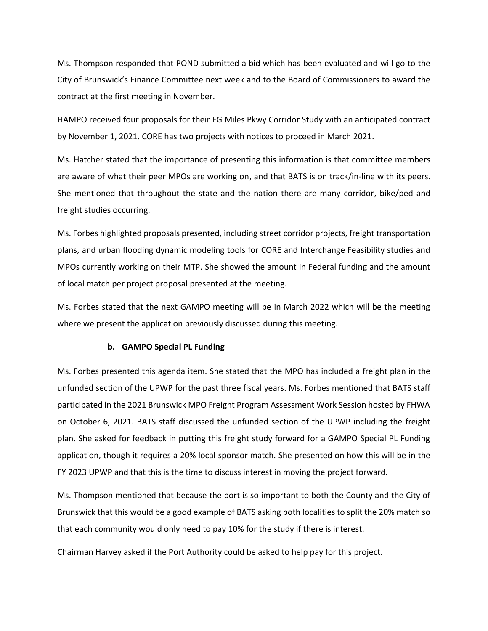Ms. Thompson responded that POND submitted a bid which has been evaluated and will go to the City of Brunswick's Finance Committee next week and to the Board of Commissioners to award the contract at the first meeting in November.

HAMPO received four proposals for their EG Miles Pkwy Corridor Study with an anticipated contract by November 1, 2021. CORE has two projects with notices to proceed in March 2021.

Ms. Hatcher stated that the importance of presenting this information is that committee members are aware of what their peer MPOs are working on, and that BATS is on track/in-line with its peers. She mentioned that throughout the state and the nation there are many corridor, bike/ped and freight studies occurring.

Ms. Forbes highlighted proposals presented, including street corridor projects, freight transportation plans, and urban flooding dynamic modeling tools for CORE and Interchange Feasibility studies and MPOs currently working on their MTP. She showed the amount in Federal funding and the amount of local match per project proposal presented at the meeting.

Ms. Forbes stated that the next GAMPO meeting will be in March 2022 which will be the meeting where we present the application previously discussed during this meeting.

#### **b. GAMPO Special PL Funding**

Ms. Forbes presented this agenda item. She stated that the MPO has included a freight plan in the unfunded section of the UPWP for the past three fiscal years. Ms. Forbes mentioned that BATS staff participated in the 2021 Brunswick MPO Freight Program Assessment Work Session hosted by FHWA on October 6, 2021. BATS staff discussed the unfunded section of the UPWP including the freight plan. She asked for feedback in putting this freight study forward for a GAMPO Special PL Funding application, though it requires a 20% local sponsor match. She presented on how this will be in the FY 2023 UPWP and that this is the time to discuss interest in moving the project forward.

Ms. Thompson mentioned that because the port is so important to both the County and the City of Brunswick that this would be a good example of BATS asking both localities to split the 20% match so that each community would only need to pay 10% for the study if there is interest.

Chairman Harvey asked if the Port Authority could be asked to help pay for this project.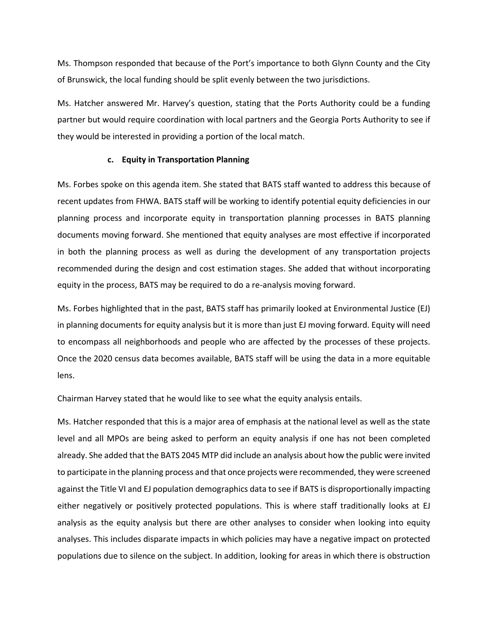Ms. Thompson responded that because of the Port's importance to both Glynn County and the City of Brunswick, the local funding should be split evenly between the two jurisdictions.

Ms. Hatcher answered Mr. Harvey's question, stating that the Ports Authority could be a funding partner but would require coordination with local partners and the Georgia Ports Authority to see if they would be interested in providing a portion of the local match.

#### **c. Equity in Transportation Planning**

Ms. Forbes spoke on this agenda item. She stated that BATS staff wanted to address this because of recent updates from FHWA. BATS staff will be working to identify potential equity deficiencies in our planning process and incorporate equity in transportation planning processes in BATS planning documents moving forward. She mentioned that equity analyses are most effective if incorporated in both the planning process as well as during the development of any transportation projects recommended during the design and cost estimation stages. She added that without incorporating equity in the process, BATS may be required to do a re-analysis moving forward.

Ms. Forbes highlighted that in the past, BATS staff has primarily looked at Environmental Justice (EJ) in planning documents for equity analysis but it is more than just EJ moving forward. Equity will need to encompass all neighborhoods and people who are affected by the processes of these projects. Once the 2020 census data becomes available, BATS staff will be using the data in a more equitable lens.

Chairman Harvey stated that he would like to see what the equity analysis entails.

Ms. Hatcher responded that this is a major area of emphasis at the national level as well as the state level and all MPOs are being asked to perform an equity analysis if one has not been completed already. She added that the BATS 2045 MTP did include an analysis about how the public were invited to participate in the planning process and that once projects were recommended, they were screened against the Title VI and EJ population demographics data to see if BATS is disproportionally impacting either negatively or positively protected populations. This is where staff traditionally looks at EJ analysis as the equity analysis but there are other analyses to consider when looking into equity analyses. This includes disparate impacts in which policies may have a negative impact on protected populations due to silence on the subject. In addition, looking for areas in which there is obstruction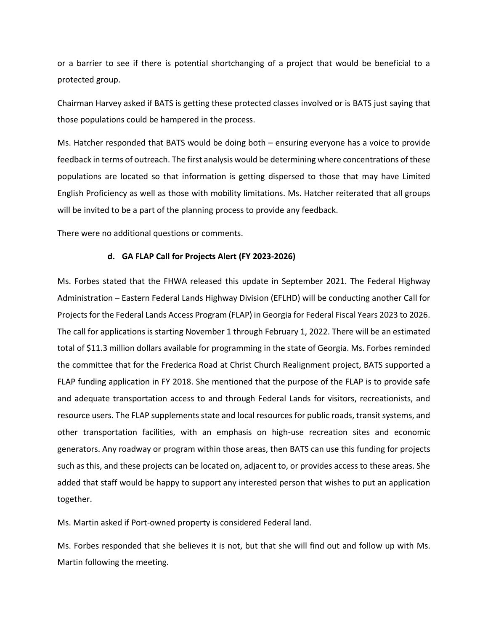or a barrier to see if there is potential shortchanging of a project that would be beneficial to a protected group.

Chairman Harvey asked if BATS is getting these protected classes involved or is BATS just saying that those populations could be hampered in the process.

Ms. Hatcher responded that BATS would be doing both – ensuring everyone has a voice to provide feedback in terms of outreach. The first analysis would be determining where concentrations of these populations are located so that information is getting dispersed to those that may have Limited English Proficiency as well as those with mobility limitations. Ms. Hatcher reiterated that all groups will be invited to be a part of the planning process to provide any feedback.

There were no additional questions or comments.

#### **d. GA FLAP Call for Projects Alert (FY 2023-2026)**

Ms. Forbes stated that the FHWA released this update in September 2021. The Federal Highway Administration – Eastern Federal Lands Highway Division (EFLHD) will be conducting another Call for Projects for the Federal Lands Access Program (FLAP) in Georgia for Federal Fiscal Years 2023 to 2026. The call for applications is starting November 1 through February 1, 2022. There will be an estimated total of \$11.3 million dollars available for programming in the state of Georgia. Ms. Forbes reminded the committee that for the Frederica Road at Christ Church Realignment project, BATS supported a FLAP funding application in FY 2018. She mentioned that the purpose of the FLAP is to provide safe and adequate transportation access to and through Federal Lands for visitors, recreationists, and resource users. The FLAP supplements state and local resources for public roads, transit systems, and other transportation facilities, with an emphasis on high-use recreation sites and economic generators. Any roadway or program within those areas, then BATS can use this funding for projects such as this, and these projects can be located on, adjacent to, or provides access to these areas. She added that staff would be happy to support any interested person that wishes to put an application together.

Ms. Martin asked if Port-owned property is considered Federal land.

Ms. Forbes responded that she believes it is not, but that she will find out and follow up with Ms. Martin following the meeting.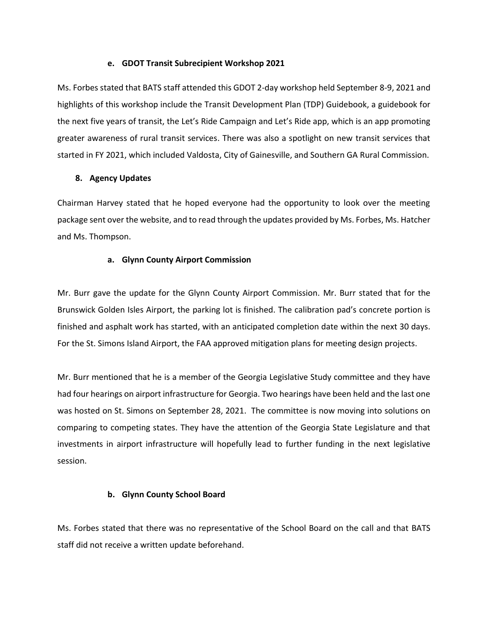#### **e. GDOT Transit Subrecipient Workshop 2021**

Ms. Forbes stated that BATS staff attended this GDOT 2-day workshop held September 8-9, 2021 and highlights of this workshop include the Transit Development Plan (TDP) Guidebook, a guidebook for the next five years of transit, the Let's Ride Campaign and Let's Ride app, which is an app promoting greater awareness of rural transit services. There was also a spotlight on new transit services that started in FY 2021, which included Valdosta, City of Gainesville, and Southern GA Rural Commission.

## **8. Agency Updates**

Chairman Harvey stated that he hoped everyone had the opportunity to look over the meeting package sent over the website, and to read through the updates provided by Ms. Forbes, Ms. Hatcher and Ms. Thompson.

#### **a. Glynn County Airport Commission**

Mr. Burr gave the update for the Glynn County Airport Commission. Mr. Burr stated that for the Brunswick Golden Isles Airport, the parking lot is finished. The calibration pad's concrete portion is finished and asphalt work has started, with an anticipated completion date within the next 30 days. For the St. Simons Island Airport, the FAA approved mitigation plans for meeting design projects.

Mr. Burr mentioned that he is a member of the Georgia Legislative Study committee and they have had four hearings on airport infrastructure for Georgia. Two hearings have been held and the last one was hosted on St. Simons on September 28, 2021. The committee is now moving into solutions on comparing to competing states. They have the attention of the Georgia State Legislature and that investments in airport infrastructure will hopefully lead to further funding in the next legislative session.

## **b. Glynn County School Board**

Ms. Forbes stated that there was no representative of the School Board on the call and that BATS staff did not receive a written update beforehand.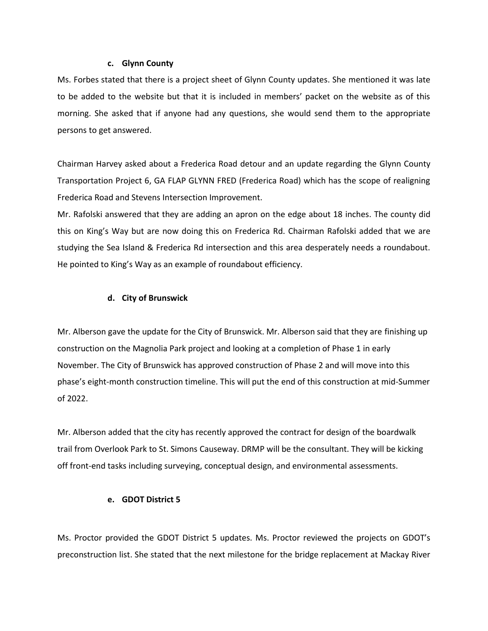#### **c. Glynn County**

Ms. Forbes stated that there is a project sheet of Glynn County updates. She mentioned it was late to be added to the website but that it is included in members' packet on the website as of this morning. She asked that if anyone had any questions, she would send them to the appropriate persons to get answered.

Chairman Harvey asked about a Frederica Road detour and an update regarding the Glynn County Transportation Project 6, GA FLAP GLYNN FRED (Frederica Road) which has the scope of realigning Frederica Road and Stevens Intersection Improvement.

Mr. Rafolski answered that they are adding an apron on the edge about 18 inches. The county did this on King's Way but are now doing this on Frederica Rd. Chairman Rafolski added that we are studying the Sea Island & Frederica Rd intersection and this area desperately needs a roundabout. He pointed to King's Way as an example of roundabout efficiency.

## **d. City of Brunswick**

Mr. Alberson gave the update for the City of Brunswick. Mr. Alberson said that they are finishing up construction on the Magnolia Park project and looking at a completion of Phase 1 in early November. The City of Brunswick has approved construction of Phase 2 and will move into this phase's eight-month construction timeline. This will put the end of this construction at mid-Summer of 2022.

Mr. Alberson added that the city has recently approved the contract for design of the boardwalk trail from Overlook Park to St. Simons Causeway. DRMP will be the consultant. They will be kicking off front-end tasks including surveying, conceptual design, and environmental assessments.

## **e. GDOT District 5**

Ms. Proctor provided the GDOT District 5 updates. Ms. Proctor reviewed the projects on GDOT's preconstruction list. She stated that the next milestone for the bridge replacement at Mackay River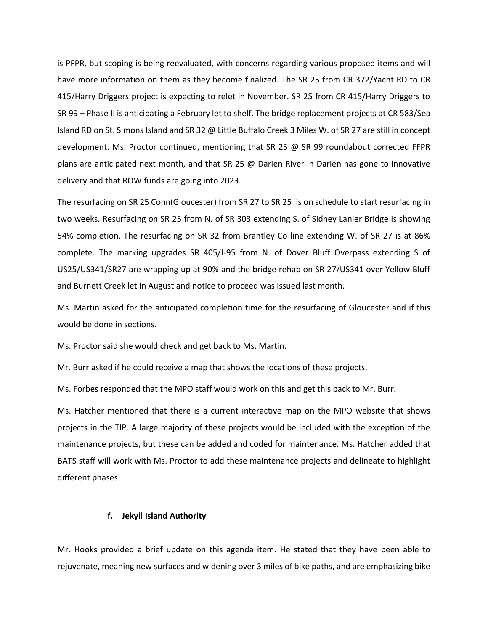is PFPR, but scoping is being reevaluated, with concerns regarding various proposed items and will have more information on them as they become finalized. The SR 25 from CR 372/Yacht RD to CR 415/Harry Driggers project is expecting to relet in November. SR 25 from CR 415/Harry Driggers to SR 99 – Phase II is anticipating a February let to shelf. The bridge replacement projects at CR 583/Sea Island RD on St. Simons Island and SR 32 @ Little Buffalo Creek 3 Miles W. of SR 27 are still in concept development. Ms. Proctor continued, mentioning that SR 25  $\omega$  SR 99 roundabout corrected FFPR plans are anticipated next month, and that SR 25 @ Darien River in Darien has gone to innovative delivery and that ROW funds are going into 2023.

The resurfacing on SR 25 Conn(Gloucester) from SR 27 to SR 25 is on schedule to start resurfacing in two weeks. Resurfacing on SR 25 from N. of SR 303 extending S. of Sidney Lanier Bridge is showing 54% completion. The resurfacing on SR 32 from Brantley Co line extending W. of SR 27 is at 86% complete. The marking upgrades SR 405/I-95 from N. of Dover Bluff Overpass extending S of US25/US341/SR27 are wrapping up at 90% and the bridge rehab on SR 27/US341 over Yellow Bluff and Burnett Creek let in August and notice to proceed was issued last month.

Ms. Martin asked for the anticipated completion time for the resurfacing of Gloucester and if this would be done in sections.

Ms. Proctor said she would check and get back to Ms. Martin.

Mr. Burr asked if he could receive a map that shows the locations of these projects.

Ms. Forbes responded that the MPO staff would work on this and get this back to Mr. Burr.

Ms. Hatcher mentioned that there is a current interactive map on the MPO website that shows projects in the TIP. A large majority of these projects would be included with the exception of the maintenance projects, but these can be added and coded for maintenance. Ms. Hatcher added that BATS staff will work with Ms. Proctor to add these maintenance projects and delineate to highlight different phases.

#### **f. Jekyll Island Authority**

Mr. Hooks provided a brief update on this agenda item. He stated that they have been able to rejuvenate, meaning new surfaces and widening over 3 miles of bike paths, and are emphasizing bike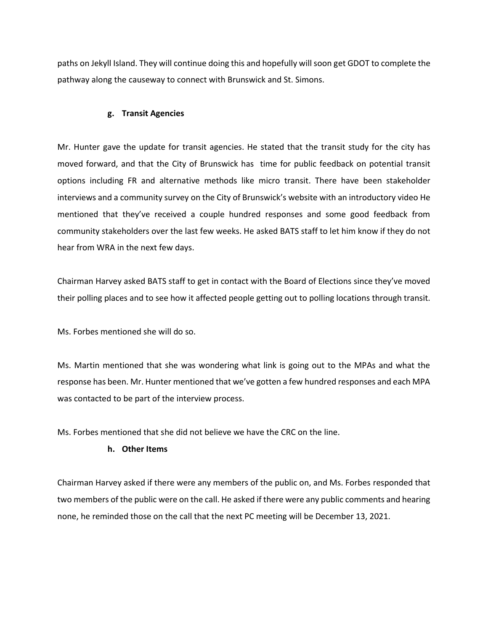paths on Jekyll Island. They will continue doing this and hopefully will soon get GDOT to complete the pathway along the causeway to connect with Brunswick and St. Simons.

#### **g. Transit Agencies**

Mr. Hunter gave the update for transit agencies. He stated that the transit study for the city has moved forward, and that the City of Brunswick has time for public feedback on potential transit options including FR and alternative methods like micro transit. There have been stakeholder interviews and a community survey on the City of Brunswick's website with an introductory video He mentioned that they've received a couple hundred responses and some good feedback from community stakeholders over the last few weeks. He asked BATS staff to let him know if they do not hear from WRA in the next few days.

Chairman Harvey asked BATS staff to get in contact with the Board of Elections since they've moved their polling places and to see how it affected people getting out to polling locations through transit.

Ms. Forbes mentioned she will do so.

Ms. Martin mentioned that she was wondering what link is going out to the MPAs and what the response has been. Mr. Hunter mentioned that we've gotten a few hundred responses and each MPA was contacted to be part of the interview process.

Ms. Forbes mentioned that she did not believe we have the CRC on the line.

## **h. Other Items**

Chairman Harvey asked if there were any members of the public on, and Ms. Forbes responded that two members of the public were on the call. He asked if there were any public comments and hearing none, he reminded those on the call that the next PC meeting will be December 13, 2021.